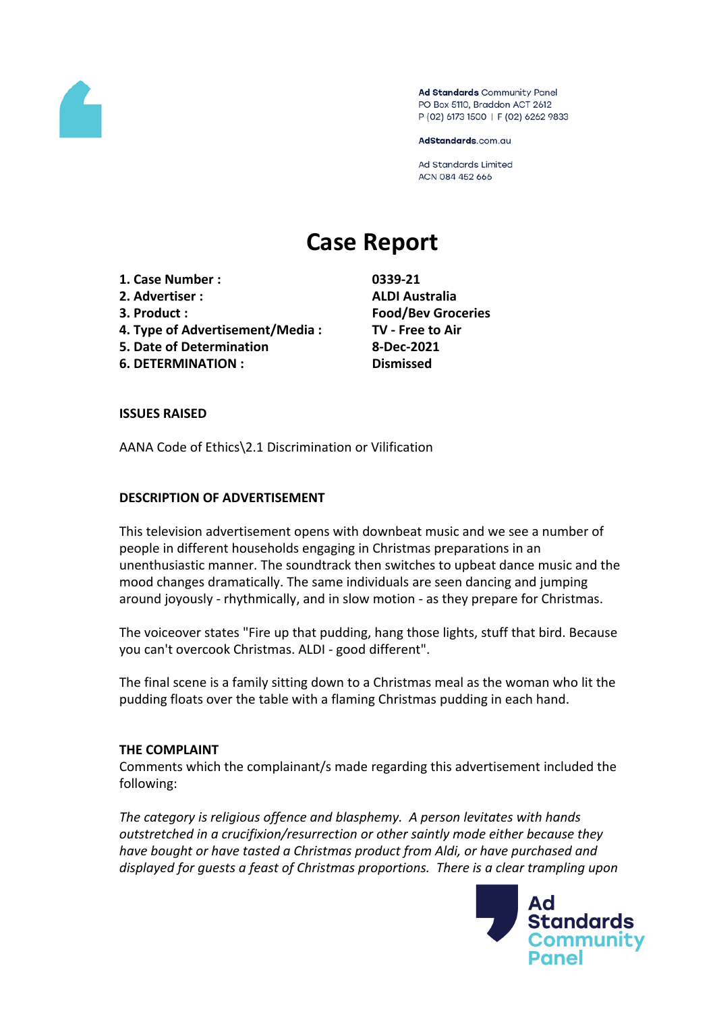

Ad Standards Community Panel PO Box 5110, Braddon ACT 2612 P (02) 6173 1500 | F (02) 6262 9833

AdStandards.com.au

**Ad Standards Limited** ACN 084 452 666

# **Case Report**

- **1. Case Number : 0339-21**
- **2. Advertiser : ALDI Australia**
- 
- **4. Type of Advertisement/Media : TV - Free to Air**
- **5. Date of Determination 8-Dec-2021**
- **6. DETERMINATION : Dismissed**

**3. Product : Food/Bev Groceries**

## **ISSUES RAISED**

AANA Code of Ethics\2.1 Discrimination or Vilification

## **DESCRIPTION OF ADVERTISEMENT**

This television advertisement opens with downbeat music and we see a number of people in different households engaging in Christmas preparations in an unenthusiastic manner. The soundtrack then switches to upbeat dance music and the mood changes dramatically. The same individuals are seen dancing and jumping around joyously - rhythmically, and in slow motion - as they prepare for Christmas.

The voiceover states "Fire up that pudding, hang those lights, stuff that bird. Because you can't overcook Christmas. ALDI - good different".

The final scene is a family sitting down to a Christmas meal as the woman who lit the pudding floats over the table with a flaming Christmas pudding in each hand.

## **THE COMPLAINT**

Comments which the complainant/s made regarding this advertisement included the following:

*The category is religious offence and blasphemy. A person levitates with hands outstretched in a crucifixion/resurrection or other saintly mode either because they have bought or have tasted a Christmas product from Aldi, or have purchased and displayed for guests a feast of Christmas proportions. There is a clear trampling upon*

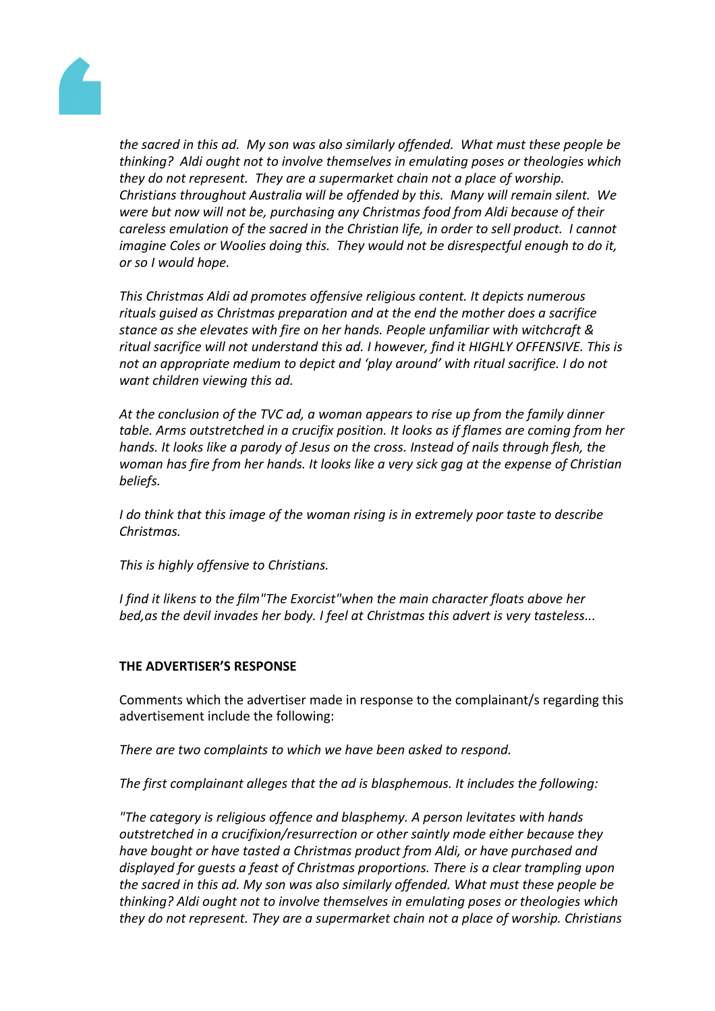

*the sacred in this ad. My son was also similarly offended. What must these people be thinking? Aldi ought not to involve themselves in emulating poses or theologies which they do not represent. They are a supermarket chain not a place of worship. Christians throughout Australia will be offended by this. Many will remain silent. We were but now will not be, purchasing any Christmas food from Aldi because of their careless emulation of the sacred in the Christian life, in order to sell product. I cannot imagine Coles or Woolies doing this. They would not be disrespectful enough to do it, or so I would hope.*

*This Christmas Aldi ad promotes offensive religious content. It depicts numerous rituals guised as Christmas preparation and at the end the mother does a sacrifice stance as she elevates with fire on her hands. People unfamiliar with witchcraft & ritual sacrifice will not understand this ad. I however, find it HIGHLY OFFENSIVE. This is not an appropriate medium to depict and 'play around' with ritual sacrifice. I do not want children viewing this ad.*

*At the conclusion of the TVC ad, a woman appears to rise up from the family dinner table. Arms outstretched in a crucifix position. It looks as if flames are coming from her hands. It looks like a parody of Jesus on the cross. Instead of nails through flesh, the woman has fire from her hands. It looks like a very sick gag at the expense of Christian beliefs.*

*I do think that this image of the woman rising is in extremely poor taste to describe Christmas.*

*This is highly offensive to Christians.*

*I find it likens to the film"The Exorcist"when the main character floats above her bed,as the devil invades her body. I feel at Christmas this advert is very tasteless...*

## **THE ADVERTISER'S RESPONSE**

Comments which the advertiser made in response to the complainant/s regarding this advertisement include the following:

*There are two complaints to which we have been asked to respond.* 

*The first complainant alleges that the ad is blasphemous. It includes the following:*

*"The category is religious offence and blasphemy. A person levitates with hands outstretched in a crucifixion/resurrection or other saintly mode either because they have bought or have tasted a Christmas product from Aldi, or have purchased and displayed for guests a feast of Christmas proportions. There is a clear trampling upon the sacred in this ad. My son was also similarly offended. What must these people be thinking? Aldi ought not to involve themselves in emulating poses or theologies which they do not represent. They are a supermarket chain not a place of worship. Christians*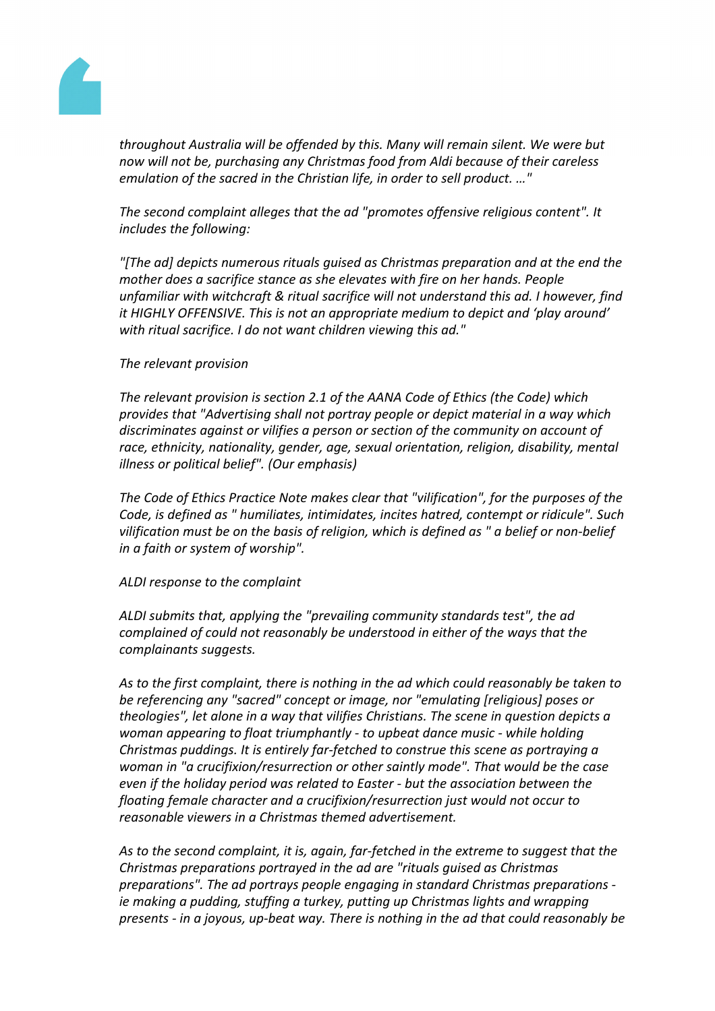

*throughout Australia will be offended by this. Many will remain silent. We were but now will not be, purchasing any Christmas food from Aldi because of their careless emulation of the sacred in the Christian life, in order to sell product. …"*

*The second complaint alleges that the ad "promotes offensive religious content". It includes the following:*

*"[The ad] depicts numerous rituals guised as Christmas preparation and at the end the mother does a sacrifice stance as she elevates with fire on her hands. People unfamiliar with witchcraft & ritual sacrifice will not understand this ad. I however, find it HIGHLY OFFENSIVE. This is not an appropriate medium to depict and 'play around' with ritual sacrifice. I do not want children viewing this ad."*

#### *The relevant provision*

*The relevant provision is section 2.1 of the AANA Code of Ethics (the Code) which provides that "Advertising shall not portray people or depict material in a way which discriminates against or vilifies a person or section of the community on account of race, ethnicity, nationality, gender, age, sexual orientation, religion, disability, mental illness or political belief". (Our emphasis)*

*The Code of Ethics Practice Note makes clear that "vilification", for the purposes of the Code, is defined as " humiliates, intimidates, incites hatred, contempt or ridicule". Such vilification must be on the basis of religion, which is defined as " a belief or non-belief in a faith or system of worship".*

## *ALDI response to the complaint*

*ALDI submits that, applying the "prevailing community standards test", the ad complained of could not reasonably be understood in either of the ways that the complainants suggests.*

*As to the first complaint, there is nothing in the ad which could reasonably be taken to be referencing any "sacred" concept or image, nor "emulating [religious] poses or theologies", let alone in a way that vilifies Christians. The scene in question depicts a woman appearing to float triumphantly - to upbeat dance music - while holding Christmas puddings. It is entirely far-fetched to construe this scene as portraying a woman in "a crucifixion/resurrection or other saintly mode". That would be the case even if the holiday period was related to Easter - but the association between the floating female character and a crucifixion/resurrection just would not occur to reasonable viewers in a Christmas themed advertisement.*

*As to the second complaint, it is, again, far-fetched in the extreme to suggest that the Christmas preparations portrayed in the ad are "rituals guised as Christmas preparations". The ad portrays people engaging in standard Christmas preparations ie making a pudding, stuffing a turkey, putting up Christmas lights and wrapping presents - in a joyous, up-beat way. There is nothing in the ad that could reasonably be*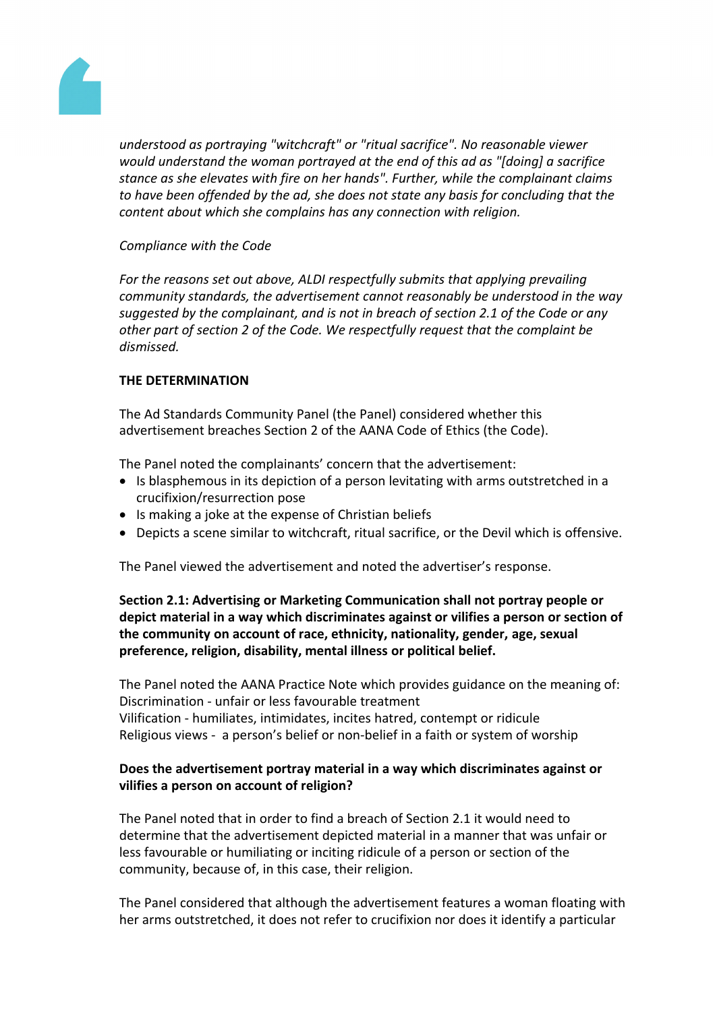

*understood as portraying "witchcraft" or "ritual sacrifice". No reasonable viewer would understand the woman portrayed at the end of this ad as "[doing] a sacrifice stance as she elevates with fire on her hands". Further, while the complainant claims to have been offended by the ad, she does not state any basis for concluding that the content about which she complains has any connection with religion.*

# *Compliance with the Code*

*For the reasons set out above, ALDI respectfully submits that applying prevailing community standards, the advertisement cannot reasonably be understood in the way suggested by the complainant, and is not in breach of section 2.1 of the Code or any other part of section 2 of the Code. We respectfully request that the complaint be dismissed.*

# **THE DETERMINATION**

The Ad Standards Community Panel (the Panel) considered whether this advertisement breaches Section 2 of the AANA Code of Ethics (the Code).

The Panel noted the complainants' concern that the advertisement:

- Is blasphemous in its depiction of a person levitating with arms outstretched in a crucifixion/resurrection pose
- Is making a joke at the expense of Christian beliefs
- Depicts a scene similar to witchcraft, ritual sacrifice, or the Devil which is offensive.

The Panel viewed the advertisement and noted the advertiser's response.

# **Section 2.1: Advertising or Marketing Communication shall not portray people or depict material in a way which discriminates against or vilifies a person or section of the community on account of race, ethnicity, nationality, gender, age, sexual preference, religion, disability, mental illness or political belief.**

The Panel noted the AANA Practice Note which provides guidance on the meaning of: Discrimination - unfair or less favourable treatment Vilification - humiliates, intimidates, incites hatred, contempt or ridicule Religious views - a person's belief or non-belief in a faith or system of worship

# **Does the advertisement portray material in a way which discriminates against or vilifies a person on account of religion?**

The Panel noted that in order to find a breach of Section 2.1 it would need to determine that the advertisement depicted material in a manner that was unfair or less favourable or humiliating or inciting ridicule of a person or section of the community, because of, in this case, their religion.

The Panel considered that although the advertisement features a woman floating with her arms outstretched, it does not refer to crucifixion nor does it identify a particular